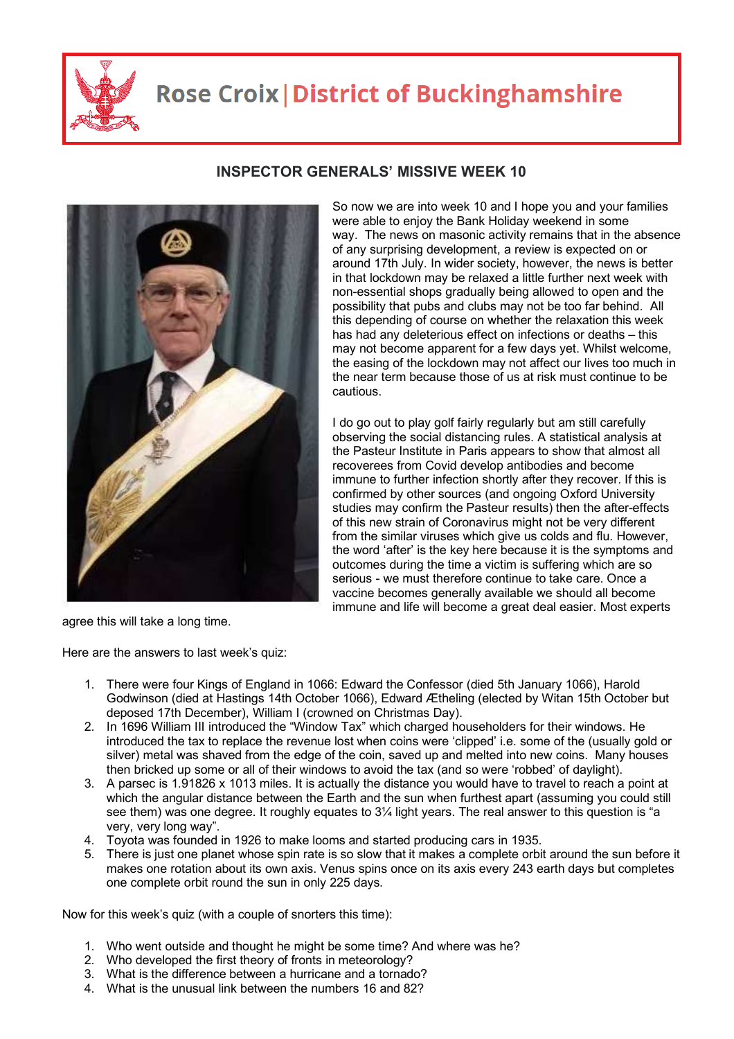

## **Rose Croix | District of Buckinghamshire**



## **INSPECTOR GENERALS' MISSIVE WEEK 10**

So now we are into week 10 and I hope you and your families were able to enjoy the Bank Holiday weekend in some way. The news on masonic activity remains that in the absence of any surprising development, a review is expected on or around 17th July. In wider society, however, the news is better in that lockdown may be relaxed a little further next week with non-essential shops gradually being allowed to open and the possibility that pubs and clubs may not be too far behind. All this depending of course on whether the relaxation this week has had any deleterious effect on infections or deaths – this may not become apparent for a few days yet. Whilst welcome, the easing of the lockdown may not affect our lives too much in the near term because those of us at risk must continue to be cautious.

I do go out to play golf fairly regularly but am still carefully observing the social distancing rules. A statistical analysis at the Pasteur Institute in Paris appears to show that almost all recoverees from Covid develop antibodies and become immune to further infection shortly after they recover. If this is confirmed by other sources (and ongoing Oxford University studies may confirm the Pasteur results) then the after-effects of this new strain of Coronavirus might not be very different from the similar viruses which give us colds and flu. However, the word 'after' is the key here because it is the symptoms and outcomes during the time a victim is suffering which are so serious - we must therefore continue to take care. Once a vaccine becomes generally available we should all become immune and life will become a great deal easier. Most experts

agree this will take a long time.

Here are the answers to last week's quiz:

- 1. There were four Kings of England in 1066: Edward the Confessor (died 5th January 1066), Harold Godwinson (died at Hastings 14th October 1066), Edward Ætheling (elected by Witan 15th October but deposed 17th December), William I (crowned on Christmas Day).
- 2. In 1696 William III introduced the "Window Tax" which charged householders for their windows. He introduced the tax to replace the revenue lost when coins were 'clipped' i.e. some of the (usually gold or silver) metal was shaved from the edge of the coin, saved up and melted into new coins. Many houses then bricked up some or all of their windows to avoid the tax (and so were 'robbed' of daylight).
- 3. A parsec is 1.91826 x 1013 miles. It is actually the distance you would have to travel to reach a point at which the angular distance between the Earth and the sun when furthest apart (assuming you could still see them) was one degree. It roughly equates to 3¼ light years. The real answer to this question is "a very, very long way".
- 4. Toyota was founded in 1926 to make looms and started producing cars in 1935.
- 5. There is just one planet whose spin rate is so slow that it makes a complete orbit around the sun before it makes one rotation about its own axis. Venus spins once on its axis every 243 earth days but completes one complete orbit round the sun in only 225 days.

Now for this week's quiz (with a couple of snorters this time):

- 1. Who went outside and thought he might be some time? And where was he?
- 2. Who developed the first theory of fronts in meteorology?
- 3. What is the difference between a hurricane and a tornado?
- 4. What is the unusual link between the numbers 16 and 82?